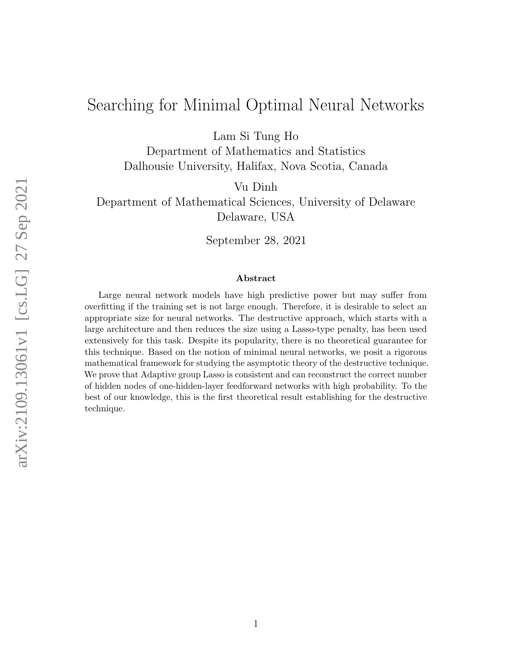# Searching for Minimal Optimal Neural Networks

Lam Si Tung Ho

Department of Mathematics and Statistics Dalhousie University, Halifax, Nova Scotia, Canada

Vu Dinh

Department of Mathematical Sciences, University of Delaware Delaware, USA

September 28, 2021

#### Abstract

Large neural network models have high predictive power but may suffer from overfitting if the training set is not large enough. Therefore, it is desirable to select an appropriate size for neural networks. The destructive approach, which starts with a large architecture and then reduces the size using a Lasso-type penalty, has been used extensively for this task. Despite its popularity, there is no theoretical guarantee for this technique. Based on the notion of minimal neural networks, we posit a rigorous mathematical framework for studying the asymptotic theory of the destructive technique. We prove that Adaptive group Lasso is consistent and can reconstruct the correct number of hidden nodes of one-hidden-layer feedforward networks with high probability. To the best of our knowledge, this is the first theoretical result establishing for the destructive technique.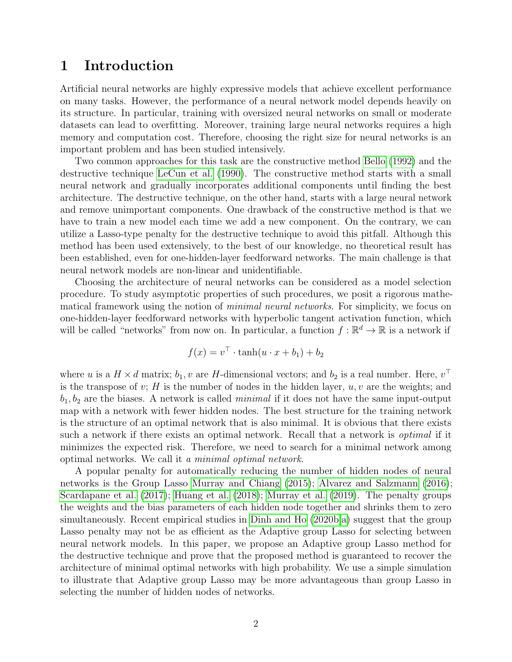## 1 Introduction

Artificial neural networks are highly expressive models that achieve excellent performance on many tasks. However, the performance of a neural network model depends heavily on its structure. In particular, training with oversized neural networks on small or moderate datasets can lead to overfitting. Moreover, training large neural networks requires a high memory and computation cost. Therefore, choosing the right size for neural networks is an important problem and has been studied intensively.

Two common approaches for this task are the constructive method [Bello](#page-13-0) [\(1992\)](#page-13-0) and the destructive technique [LeCun et al.](#page-14-0) [\(1990\)](#page-14-0). The constructive method starts with a small neural network and gradually incorporates additional components until finding the best architecture. The destructive technique, on the other hand, starts with a large neural network and remove unimportant components. One drawback of the constructive method is that we have to train a new model each time we add a new component. On the contrary, we can utilize a Lasso-type penalty for the destructive technique to avoid this pitfall. Although this method has been used extensively, to the best of our knowledge, no theoretical result has been established, even for one-hidden-layer feedforward networks. The main challenge is that neural network models are non-linear and unidentifiable.

Choosing the architecture of neural networks can be considered as a model selection procedure. To study asymptotic properties of such procedures, we posit a rigorous mathematical framework using the notion of *minimal neural networks*. For simplicity, we focus on one-hidden-layer feedforward networks with hyperbolic tangent activation function, which will be called "networks" from now on. In particular, a function  $f : \mathbb{R}^d \to \mathbb{R}$  is a network if

$$
f(x) = v^{\top} \cdot \tanh(u \cdot x + b_1) + b_2
$$

where u is a  $H \times d$  matrix;  $b_1, v$  are H-dimensional vectors; and  $b_2$  is a real number. Here,  $v^{\top}$ is the transpose of  $v$ ; H is the number of nodes in the hidden layer,  $u, v$  are the weights; and  $b_1, b_2$  are the biases. A network is called *minimal* if it does not have the same input-output map with a network with fewer hidden nodes. The best structure for the training network is the structure of an optimal network that is also minimal. It is obvious that there exists such a network if there exists an optimal network. Recall that a network is optimal if it minimizes the expected risk. Therefore, we need to search for a minimal network among optimal networks. We call it a minimal optimal network.

A popular penalty for automatically reducing the number of hidden nodes of neural networks is the Group Lasso [Murray and Chiang](#page-14-1) [\(2015\)](#page-14-1); [Alvarez and Salzmann](#page-13-1) [\(2016\)](#page-13-1); [Scardapane et al.](#page-14-2) [\(2017\)](#page-14-2); [Huang et al.](#page-14-3) [\(2018\)](#page-14-3); [Murray et al.](#page-14-4) [\(2019\)](#page-14-4). The penalty groups the weights and the bias parameters of each hidden node together and shrinks them to zero simultaneously. Recent empirical studies in [Dinh and Ho](#page-13-2) [\(2020b,](#page-13-2)[a\)](#page-13-3) suggest that the group Lasso penalty may not be as efficient as the Adaptive group Lasso for selecting between neural network models. In this paper, we propose an Adaptive group Lasso method for the destructive technique and prove that the proposed method is guaranteed to recover the architecture of minimal optimal networks with high probability. We use a simple simulation to illustrate that Adaptive group Lasso may be more advantageous than group Lasso in selecting the number of hidden nodes of networks.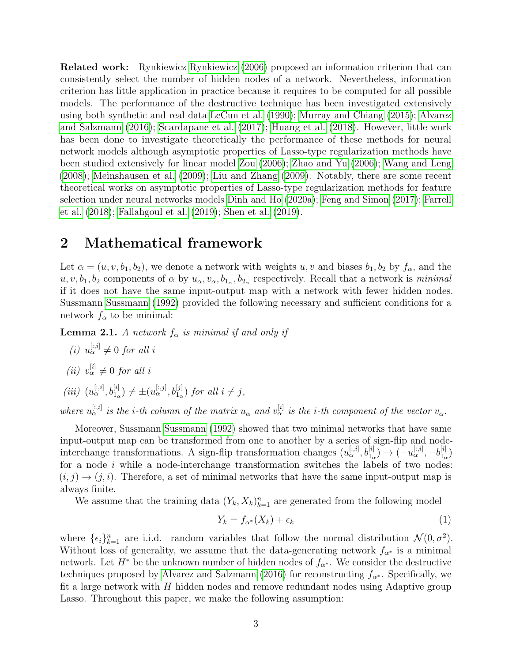Related work: Rynkiewicz [Rynkiewicz](#page-14-5) [\(2006\)](#page-14-5) proposed an information criterion that can consistently select the number of hidden nodes of a network. Nevertheless, information criterion has little application in practice because it requires to be computed for all possible models. The performance of the destructive technique has been investigated extensively using both synthetic and real data [LeCun et al.](#page-14-0) [\(1990\)](#page-14-0); [Murray and Chiang](#page-14-1) [\(2015\)](#page-14-1); [Alvarez](#page-13-1) [and Salzmann](#page-13-1) [\(2016\)](#page-13-1); [Scardapane et al.](#page-14-2) [\(2017\)](#page-14-2); [Huang et al.](#page-14-3) [\(2018\)](#page-14-3). However, little work has been done to investigate theoretically the performance of these methods for neural network models although asymptotic properties of Lasso-type regularization methods have been studied extensively for linear model [Zou](#page-15-0) [\(2006\)](#page-15-0); [Zhao and Yu](#page-15-1) [\(2006\)](#page-15-1); [Wang and Leng](#page-14-6) [\(2008\)](#page-14-6); [Meinshausen et al.](#page-14-7) [\(2009\)](#page-14-7); [Liu and Zhang](#page-14-8) [\(2009\)](#page-14-8). Notably, there are some recent theoretical works on asymptotic properties of Lasso-type regularization methods for feature selection under neural networks models [Dinh and Ho](#page-13-3) [\(2020a\)](#page-13-3); [Feng and Simon](#page-14-9) [\(2017\)](#page-14-9); [Farrell](#page-14-10) [et al.](#page-14-10) [\(2018\)](#page-14-10); [Fallahgoul et al.](#page-13-4) [\(2019\)](#page-13-4); [Shen et al.](#page-14-11) [\(2019\)](#page-14-11).

#### 2 Mathematical framework

Let  $\alpha = (u, v, b_1, b_2)$ , we denote a network with weights u, v and biases  $b_1, b_2$  by  $f_{\alpha}$ , and the  $u, v, b_1, b_2$  components of  $\alpha$  by  $u_\alpha, v_\alpha, b_{1_\alpha}, b_{2_\alpha}$  respectively. Recall that a network is *minimal* if it does not have the same input-output map with a network with fewer hidden nodes. Sussmann [Sussmann](#page-14-12) [\(1992\)](#page-14-12) provided the following necessary and sufficient conditions for a network  $f_{\alpha}$  to be minimal:

<span id="page-2-0"></span>**Lemma 2.1.** A network  $f_{\alpha}$  is minimal if and only if

- (i)  $u_{\alpha}^{[:,i]} \neq 0$  for all i
- (*ii*)  $v_{\alpha}^{[i]} \neq 0$  for all *i*
- (iii)  $(u_\alpha^{[:,i]}, b_{1_\alpha}^{[i]}) \neq \pm (u_\alpha^{[:,j]}, b_{1_\alpha}^{[j]})$  for all  $i \neq j$ ,

where  $u_{\alpha}^{[:,i]}$  is the *i*-th column of the matrix  $u_{\alpha}$  and  $v_{\alpha}^{[i]}$  is the *i*-th component of the vector  $v_{\alpha}$ .

Moreover, Sussmann [Sussmann](#page-14-12) [\(1992\)](#page-14-12) showed that two minimal networks that have same input-output map can be transformed from one to another by a series of sign-flip and nodeinterchange transformations. A sign-flip transformation changes  $(u_{\alpha}^{[:,i]}, b_{1_{\alpha}}^{[i]}) \rightarrow (-u_{\alpha}^{[:,i]}, -b_{1_{\alpha}}^{[i]})$  $\binom{[i]}{1_{\alpha}}$ for a node  $i$  while a node-interchange transformation switches the labels of two nodes:  $(i, j) \rightarrow (j, i)$ . Therefore, a set of minimal networks that have the same input-output map is always finite.

We assume that the training data  $(Y_k, X_k)_{k=1}^n$  are generated from the following model

<span id="page-2-1"></span>
$$
Y_k = f_{\alpha^*}(X_k) + \epsilon_k \tag{1}
$$

where  $\{\epsilon_i\}_{k=1}^n$  are i.i.d. random variables that follow the normal distribution  $\mathcal{N}(0, \sigma^2)$ . Without loss of generality, we assume that the data-generating network  $f_{\alpha^*}$  is a minimal network. Let  $H^*$  be the unknown number of hidden nodes of  $f_{\alpha^*}$ . We consider the destructive techniques proposed by [Alvarez and Salzmann](#page-13-1) [\(2016\)](#page-13-1) for reconstructing  $f_{\alpha^*}$ . Specifically, we fit a large network with  $H$  hidden nodes and remove redundant nodes using Adaptive group Lasso. Throughout this paper, we make the following assumption: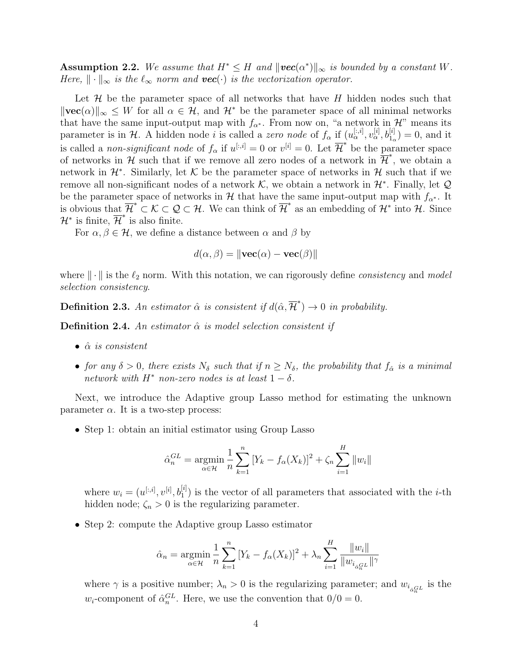Assumption 2.2. We assume that  $H^* \leq H$  and  $\|\textit{vec}(\alpha^*)\|_{\infty}$  is bounded by a constant W. Here,  $\|\cdot\|_{\infty}$  is the  $\ell_{\infty}$  norm and  $vec(\cdot)$  is the vectorization operator.

Let  $\mathcal H$  be the parameter space of all networks that have  $H$  hidden nodes such that  $\|\text{vec}(\alpha)\|_{\infty} \leq W$  for all  $\alpha \in \mathcal{H}$ , and  $\mathcal{H}^*$  be the parameter space of all minimal networks that have the same input-output map with  $f_{\alpha^*}$ . From now on, "a network in H" means its parameter is in H. A hidden node *i* is called a *zero node* of  $f_{\alpha}$  if  $(u_{\alpha}^{[:,i]}, v_{\alpha}^{[i]}, b_{1_{\alpha}}^{[i]}) = 0$ , and it is called a *non-significant node* of  $f_{\alpha}$  if  $u^{[:,i]} = 0$  or  $v^{[i]} = 0$ . Let  $\overline{\mathcal{H}}^*$  be the parameter space of networks in  $\mathcal{H}$  such that if we remove all zero nodes of a network in  $\overline{\mathcal{H}}^*$ , we obtain a network in  $\mathcal{H}^*$ . Similarly, let K be the parameter space of networks in H such that if we remove all non-significant nodes of a network  $K$ , we obtain a network in  $\mathcal{H}^*$ . Finally, let  $\mathcal{Q}$ be the parameter space of networks in H that have the same input-output map with  $f_{\alpha^*}$ . It is obvious that  $\overline{\mathcal{H}}^* \subset \mathcal{K} \subset \mathcal{Q} \subset \mathcal{H}$ . We can think of  $\overline{\mathcal{H}}^*$  as an embedding of  $\mathcal{H}^*$  into  $\mathcal{H}$ . Since  $\mathcal{H}^*$  is finite,  $\overline{\mathcal{H}}^*$  is also finite.

For  $\alpha, \beta \in \mathcal{H}$ , we define a distance between  $\alpha$  and  $\beta$  by

$$
d(\alpha, \beta) = \|\mathbf{vec}(\alpha) - \mathbf{vec}(\beta)\|
$$

where  $\|\cdot\|$  is the  $\ell_2$  norm. With this notation, we can rigorously define *consistency* and model selection consistency.

**Definition 2.3.** An estimator  $\hat{\alpha}$  is consistent if  $d(\hat{\alpha}, \overline{\mathcal{H}}^*) \to 0$  in probability.

**Definition 2.4.** An estimator  $\hat{\alpha}$  is model selection consistent if

- $\hat{\alpha}$  is consistent
- for any  $\delta > 0$ , there exists  $N_{\delta}$  such that if  $n \ge N_{\delta}$ , the probability that  $f_{\hat{\alpha}}$  is a minimal network with  $H^*$  non-zero nodes is at least  $1 - \delta$ .

Next, we introduce the Adaptive group Lasso method for estimating the unknown parameter  $\alpha$ . It is a two-step process:

• Step 1: obtain an initial estimator using Group Lasso

$$
\hat{\alpha}_n^{GL} = \underset{\alpha \in \mathcal{H}}{\text{argmin}} \frac{1}{n} \sum_{k=1}^n [Y_k - f_{\alpha}(X_k)]^2 + \zeta_n \sum_{i=1}^H \|w_i\|
$$

where  $w_i = (u^{[:,i]}, v^{[i]}, b_1^{[i]})$  is the vector of all parameters that associated with the *i*-th hidden node;  $\zeta_n > 0$  is the regularizing parameter.

• Step 2: compute the Adaptive group Lasso estimator

$$
\hat{\alpha}_n = \underset{\alpha \in \mathcal{H}}{\text{argmin}} \frac{1}{n} \sum_{k=1}^n [Y_k - f_{\alpha}(X_k)]^2 + \lambda_n \sum_{i=1}^H \frac{||w_i||}{||w_{i_{\alpha_n}GL}||^{\gamma}}
$$

where  $\gamma$  is a positive number;  $\lambda_n > 0$  is the regularizing parameter; and  $w_{i_{\alpha_n}G}$  is the  $w_i$ -component of  $\hat{\alpha}_n^{GL}$ . Here, we use the convention that  $0/0 = 0$ .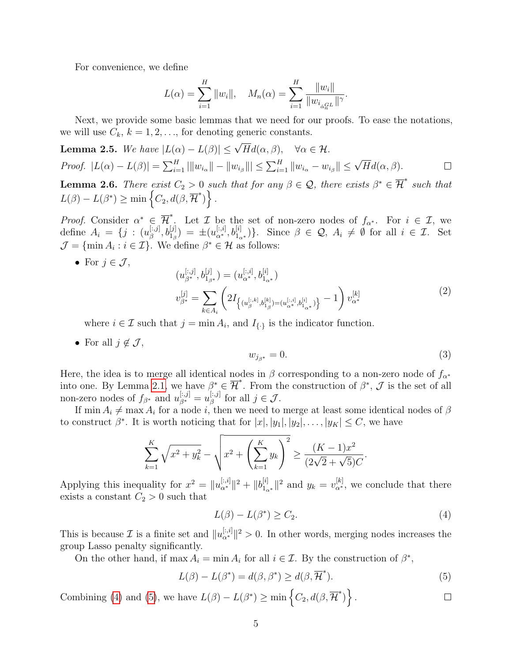For convenience, we define

$$
L(\alpha) = \sum_{i=1}^{H} ||w_i||, \quad M_n(\alpha) = \sum_{i=1}^{H} \frac{||w_i||}{||w_{i_{\alpha}GL}||^{\gamma}}.
$$

Next, we provide some basic lemmas that we need for our proofs. To ease the notations, we will use  $C_k$ ,  $k = 1, 2, \ldots$ , for denoting generic constants.

<span id="page-4-4"></span>**Lemma 2.5.** We have 
$$
|L(\alpha) - L(\beta)| \leq \sqrt{H}d(\alpha, \beta)
$$
,  $\forall \alpha \in \mathcal{H}$ . *Proof.*  $|L(\alpha) - L(\beta)| = \sum_{i=1}^{H} |||w_{i_{\alpha}}|| - ||w_{i_{\beta}}||| \leq \sum_{i=1}^{H} ||w_{i_{\alpha}} - w_{i_{\beta}}|| \leq \sqrt{H}d(\alpha, \beta).$ 

<span id="page-4-5"></span>**Lemma 2.6.** There exist  $C_2 > 0$  such that for any  $\beta \in \mathcal{Q}$ , there exists  $\beta^* \in \overline{\mathcal{H}}^*$  such that  $L(\beta) - L(\beta^*) \ge \min \left\{ C_2, d(\beta, \overline{\mathcal{H}}^*) \right\}.$ 

*Proof.* Consider  $\alpha^* \in \overline{\mathcal{H}}^*$ . Let  $\mathcal{I}$  be the set of non-zero nodes of  $f_{\alpha^*}$ . For  $i \in \mathcal{I}$ , we define  $A_i = \{j : (u_{\beta}^{[:,j]})\}$  $\mathcal{L}^{[:,j]}, b_{1\beta}^{[j]} = \pm (u_{\alpha^*}^{[:,i]}, b_{1_{\alpha^*}}^{[i]})\}.$  Since  $\beta \in \mathcal{Q}, A_i \neq \emptyset$  for all  $i \in \mathcal{I}$ . Set  $\mathcal{J} = \{\min A_i : i \in \mathcal{I}\}\.$  We define  $\beta^* \in \mathcal{H}$  as follows:

• For  $j \in \mathcal{J}$ ,  $(u_{\beta^*}^{[:,j]},b_{1_{\beta^*}}^{[j]})=(u_{\alpha^*}^{[:,i]},b_{1_{\alpha^*}}^{[i]})$  $v_{\beta^*}^{[j]} = \sum$  $k \in A_i$  $\sqrt{ }$  $2I_{\left\{(u_{\beta}^{[:,k]},b_{1\beta}^{[k]})=(u_{\alpha^{*}}^{[:,i]},b_{1_{\alpha^{*}}}^{[i]})\right\}}-1$  $\setminus$  $v_{\alpha^*}^{[k]}$ α<sup>∗</sup> (2)

<span id="page-4-2"></span>where  $i \in \mathcal{I}$  such that  $j = \min A_i$ , and  $I_{\{\cdot\}}$  is the indicator function.

• For all  $j \notin \mathcal{J}$ ,

<span id="page-4-3"></span>
$$
w_{j_{\beta^*}} = 0.\tag{3}
$$

Here, the idea is to merge all identical nodes in  $\beta$  corresponding to a non-zero node of  $f_{\alpha^*}$ into one. By Lemma [2.1,](#page-2-0) we have  $\beta^* \in \overline{\mathcal{H}}^*$ . From the construction of  $\beta^*$ ,  $\mathcal{J}$  is the set of all non-zero nodes of  $f_{\beta^*}$  and  $u_{\beta^*}^{[:,j]} = u_{\beta}^{[:,j]}$  $\beta^{\left[.,j\right]}$  for all  $j \in \mathcal{J}$ .

If min  $A_i \neq \max A_i$  for a node i, then we need to merge at least some identical nodes of  $\beta$ to construct  $\beta^*$ . It is worth noticing that for  $|x|, |y_1|, |y_2|, \ldots, |y_K| \leq C$ , we have

$$
\sum_{k=1}^{K} \sqrt{x^2 + y_k^2} - \sqrt{x^2 + \left(\sum_{k=1}^{K} y_k\right)^2} \ge \frac{(K-1)x^2}{(2\sqrt{2} + \sqrt{5})C}.
$$

Applying this inequality for  $x^2 = ||u_{\alpha^*}^{[:,i]}||^2 + ||b_{1_{\alpha^*}}^{[i]}||^2$  and  $y_k = v_{\alpha^*}^{[k]}$ , we conclude that there exists a constant  $C_2 > 0$  such that

<span id="page-4-0"></span>
$$
L(\beta) - L(\beta^*) \ge C_2. \tag{4}
$$

This is because  $\mathcal I$  is a finite set and  $||u_{\alpha^*}^{[:,i]}||^2 > 0$ . In other words, merging nodes increases the group Lasso penalty significantly.

On the other hand, if max  $A_i = \min A_i$  for all  $i \in \mathcal{I}$ . By the construction of  $\beta^*$ ,

<span id="page-4-1"></span>
$$
L(\beta) - L(\beta^*) = d(\beta, \beta^*) \ge d(\beta, \overline{\mathcal{H}}^*).
$$
\n(5)

Combining [\(4\)](#page-4-0) and [\(5\)](#page-4-1), we have  $L(\beta) - L(\beta^*) \ge \min \left\{ C_2, d(\beta, \overline{\mathcal{H}}^*) \right\}.$  $\Box$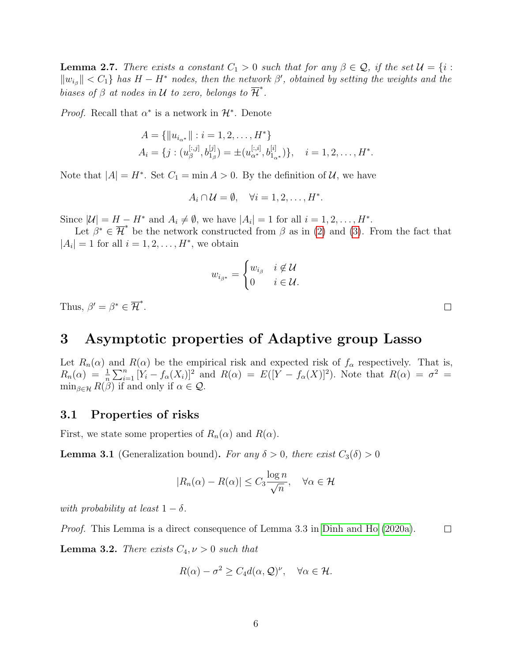<span id="page-5-2"></span>**Lemma 2.7.** There exists a constant  $C_1 > 0$  such that for any  $\beta \in \mathcal{Q}$ , if the set  $\mathcal{U} = \{i :$  $||w_{i_{\beta}}|| < C_1$  has  $H - H^*$  nodes, then the network  $\beta'$ , obtained by setting the weights and the biases of  $\beta$  at nodes in  $\mathcal U$  to zero, belongs to  $\overline{\mathcal{H}}^*$ .

*Proof.* Recall that  $\alpha^*$  is a network in  $\mathcal{H}^*$ . Denote

$$
A = \{ ||u_{i_{\alpha^*}}|| : i = 1, 2, \dots, H^* \}
$$
  

$$
A_i = \{ j : (u_{\beta}^{[:,j]}, b_{1_{\beta}}^{[j]}) = \pm (u_{\alpha^*}^{[:,i]}, b_{1_{\alpha^*}}^{[i]}) \}, \quad i = 1, 2, \dots, H^*.
$$

Note that  $|A| = H^*$ . Set  $C_1 = \min A > 0$ . By the definition of  $\mathcal{U}$ , we have

$$
A_i \cap \mathcal{U} = \emptyset, \quad \forall i = 1, 2, \dots, H^*.
$$

Since  $|\mathcal{U}| = H - H^*$  and  $A_i \neq \emptyset$ , we have  $|A_i| = 1$  for all  $i = 1, 2, ..., H^*$ .

Let  $\rho^* \in \overline{\mathcal{H}}^*$  be the network constructed from  $\beta$  as in [\(2\)](#page-4-2) and [\(3\)](#page-4-3). From the fact that  $|A_i| = 1$  for all  $i = 1, 2, \ldots, H^*$ , we obtain

$$
w_{i_{\beta^*}} = \begin{cases} w_{i_{\beta}} & i \notin \mathcal{U} \\ 0 & i \in \mathcal{U}. \end{cases}
$$

Thus,  $\beta' = \beta^* \in \overline{\mathcal{H}}^*$ .

# 3 Asymptotic properties of Adaptive group Lasso

Let  $R_n(\alpha)$  and  $R(\alpha)$  be the empirical risk and expected risk of  $f_\alpha$  respectively. That is,  $R_n(\alpha) = \frac{1}{n} \sum_{i=1}^n [Y_i - f_\alpha(X_i)]^2$  and  $R(\alpha) = E([Y - f_\alpha(X)]^2)$ . Note that  $R(\alpha) = \sigma^2 =$  $\min_{\beta \in \mathcal{H}} R(\beta)$  if and only if  $\alpha \in \mathcal{Q}$ .

#### 3.1 Properties of risks

First, we state some properties of  $R_n(\alpha)$  and  $R(\alpha)$ .

<span id="page-5-0"></span>**Lemma 3.1** (Generalization bound). For any  $\delta > 0$ , there exist  $C_3(\delta) > 0$ 

$$
|R_n(\alpha) - R(\alpha)| \le C_3 \frac{\log n}{\sqrt{n}}, \quad \forall \alpha \in \mathcal{H}
$$

with probability at least  $1 - \delta$ .

Proof. This Lemma is a direct consequence of Lemma 3.3 in [Dinh and Ho](#page-13-3) [\(2020a\)](#page-13-3).  $\Box$ 

<span id="page-5-1"></span>**Lemma 3.2.** There exists  $C_4$ ,  $\nu > 0$  such that

$$
R(\alpha) - \sigma^2 \ge C_4 d(\alpha, \mathcal{Q})^{\nu}, \quad \forall \alpha \in \mathcal{H}.
$$

 $\Box$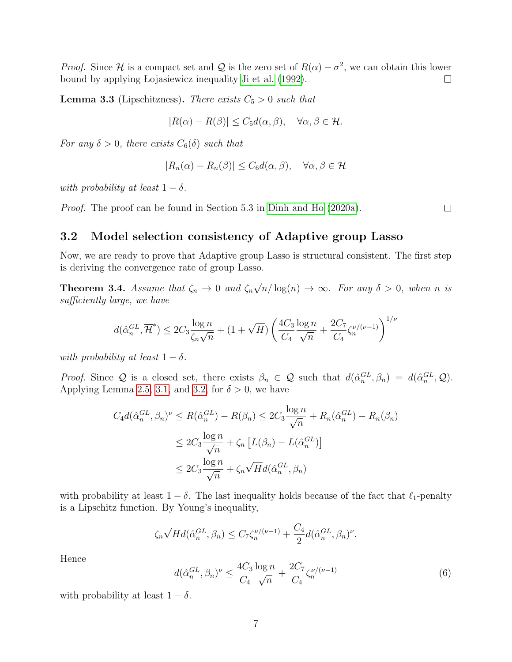*Proof.* Since H is a compact set and Q is the zero set of  $R(\alpha) - \sigma^2$ , we can obtain this lower bound by applying Lojasiewicz inequality [Ji et al.](#page-14-13) [\(1992\)](#page-14-13).  $\Box$ 

<span id="page-6-2"></span>**Lemma 3.3** (Lipschitzness). There exists  $C_5 > 0$  such that

$$
|R(\alpha) - R(\beta)| \le C_5 d(\alpha, \beta), \quad \forall \alpha, \beta \in \mathcal{H}.
$$

For any  $\delta > 0$ , there exists  $C_6(\delta)$  such that

$$
|R_n(\alpha) - R_n(\beta)| \le C_6 d(\alpha, \beta), \quad \forall \alpha, \beta \in \mathcal{H}
$$

with probability at least  $1 - \delta$ .

Proof. The proof can be found in Section 5.3 in [Dinh and Ho](#page-13-3) [\(2020a\)](#page-13-3).

 $\Box$ 

#### 3.2 Model selection consistency of Adaptive group Lasso

Now, we are ready to prove that Adaptive group Lasso is structural consistent. The first step is deriving the convergence rate of group Lasso.

<span id="page-6-1"></span>**Theorem 3.4.** Assume that  $\zeta_n \to 0$  and  $\zeta_n$ √  $\overline{n}/\log(n) \rightarrow \infty$ . For any  $\delta > 0$ , when n is sufficiently large, we have

$$
d(\hat{\alpha}_n^{GL}, \overline{\mathcal{H}}^*) \leq 2C_3 \frac{\log n}{\zeta_n \sqrt{n}} + (1 + \sqrt{H}) \left( \frac{4C_3}{C_4} \frac{\log n}{\sqrt{n}} + \frac{2C_7}{C_4} \zeta_n^{\nu/(\nu-1)} \right)^{1/\nu}
$$

with probability at least  $1 - \delta$ .

Proof. Since Q is a closed set, there exists  $\beta_n \in \mathcal{Q}$  such that  $d(\hat{\alpha}_n^{GL}, \beta_n) = d(\hat{\alpha}_n^{GL}, \mathcal{Q})$ . Applying Lemma [2.5,](#page-4-4) [3.1,](#page-5-0) and [3.2,](#page-5-1) for  $\delta > 0$ , we have

$$
C_4 d(\hat{\alpha}_n^{GL}, \beta_n)^{\nu} \le R(\hat{\alpha}_n^{GL}) - R(\beta_n) \le 2C_3 \frac{\log n}{\sqrt{n}} + R_n(\hat{\alpha}_n^{GL}) - R_n(\beta_n)
$$
  

$$
\le 2C_3 \frac{\log n}{\sqrt{n}} + \zeta_n \left[ L(\beta_n) - L(\hat{\alpha}_n^{GL}) \right]
$$
  

$$
\le 2C_3 \frac{\log n}{\sqrt{n}} + \zeta_n \sqrt{H} d(\hat{\alpha}_n^{GL}, \beta_n)
$$

with probability at least  $1 - \delta$ . The last inequality holds because of the fact that  $\ell_1$ -penalty is a Lipschitz function. By Young's inequality,

$$
\zeta_n \sqrt{H} d(\hat{\alpha}_n^{GL}, \beta_n) \leq C_7 \zeta_n^{\nu/(\nu-1)} + \frac{C_4}{2} d(\hat{\alpha}_n^{GL}, \beta_n)^{\nu}.
$$

Hence

<span id="page-6-0"></span>
$$
d(\hat{\alpha}_n^{GL}, \beta_n)^{\nu} \le \frac{4C_3}{C_4} \frac{\log n}{\sqrt{n}} + \frac{2C_7}{C_4} \zeta_n^{\nu/(\nu - 1)}
$$
(6)

with probability at least  $1 - \delta$ .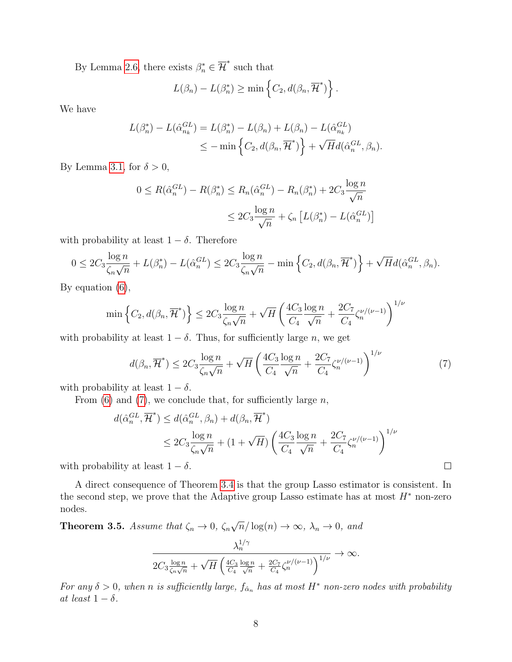By Lemma [2.6,](#page-4-5) there exists  $\beta_n^* \in \overline{\mathcal{H}}^*$  such that

$$
L(\beta_n) - L(\beta_n^*) \ge \min \left\{ C_2, d(\beta_n, \overline{H}^*) \right\}.
$$

We have

$$
L(\beta_n^*) - L(\hat{\alpha}_{n_k}^{GL}) = L(\beta_n^*) - L(\beta_n) + L(\beta_n) - L(\hat{\alpha}_{n_k}^{GL})
$$
  

$$
\leq - \min \left\{ C_2, d(\beta_n, \overline{H}^*) \right\} + \sqrt{H}d(\hat{\alpha}_n^{GL}, \beta_n).
$$

By Lemma [3.1,](#page-5-0) for  $\delta > 0$ ,

$$
0 \leq R(\hat{\alpha}_n^{GL}) - R(\beta_n^*) \leq R_n(\hat{\alpha}_n^{GL}) - R_n(\beta_n^*) + 2C_3 \frac{\log n}{\sqrt{n}}
$$
  

$$
\leq 2C_3 \frac{\log n}{\sqrt{n}} + \zeta_n \left[ L(\beta_n^*) - L(\hat{\alpha}_n^{GL}) \right]
$$

with probability at least  $1 - \delta$ . Therefore

$$
0 \leq 2C_3 \frac{\log n}{\zeta_n \sqrt{n}} + L(\beta_n^*) - L(\hat{\alpha}_n^{GL}) \leq 2C_3 \frac{\log n}{\zeta_n \sqrt{n}} - \min \left\{ C_2, d(\beta_n, \overline{\mathcal{H}}^*) \right\} + \sqrt{H} d(\hat{\alpha}_n^{GL}, \beta_n).
$$

By equation [\(6\)](#page-6-0),

$$
\min\left\{C_2, d(\beta_n, \overline{\mathcal{H}}^*)\right\} \le 2C_3 \frac{\log n}{\zeta_n \sqrt{n}} + \sqrt{H} \left(\frac{4C_3}{C_4} \frac{\log n}{\sqrt{n}} + \frac{2C_7}{C_4} \zeta_n^{\nu/(\nu-1)}\right)^{1/\nu}
$$

with probability at least  $1 - \delta$ . Thus, for sufficiently large n, we get

<span id="page-7-0"></span>
$$
d(\beta_n, \overline{\mathcal{H}}^*) \le 2C_3 \frac{\log n}{\zeta_n \sqrt{n}} + \sqrt{H} \left( \frac{4C_3}{C_4} \frac{\log n}{\sqrt{n}} + \frac{2C_7}{C_4} \zeta_n^{\nu/(\nu - 1)} \right)^{1/\nu} \tag{7}
$$

with probability at least  $1 - \delta$ .

From [\(6\)](#page-6-0) and [\(7\)](#page-7-0), we conclude that, for sufficiently large  $n$ ,

$$
d(\hat{\alpha}_n^{GL}, \overline{\mathcal{H}}^*) \le d(\hat{\alpha}_n^{GL}, \beta_n) + d(\beta_n, \overline{\mathcal{H}}^*)
$$
  

$$
\le 2C_3 \frac{\log n}{\zeta_n \sqrt{n}} + (1 + \sqrt{H}) \left( \frac{4C_3}{C_4} \frac{\log n}{\sqrt{n}} + \frac{2C_7}{C_4} \zeta_n^{\nu/(\nu - 1)} \right)^{1/\nu}
$$

with probability at least  $1 - \delta$ .

A direct consequence of Theorem [3.4](#page-6-1) is that the group Lasso estimator is consistent. In the second step, we prove that the Adaptive group Lasso estimate has at most  $H^*$  non-zero nodes.

<span id="page-7-1"></span>**Theorem 3.5.** Assume that 
$$
\zeta_n \to 0
$$
,  $\zeta_n \sqrt{n}/\log(n) \to \infty$ ,  $\lambda_n \to 0$ , and  
\n
$$
\frac{\lambda_n^{1/\gamma}}{2C_3 \frac{\log n}{\zeta_n \sqrt{n}} + \sqrt{H} \left(\frac{4C_3}{C_4} \frac{\log n}{\sqrt{n}} + \frac{2C_7}{C_4} \zeta_n^{\nu/(\nu-1)}\right)^{1/\nu}} \to \infty.
$$

For any  $\delta > 0$ , when n is sufficiently large,  $f_{\hat{\alpha}_n}$  has at most  $H^*$  non-zero nodes with probability at least  $1 - \delta$ .

 $\Box$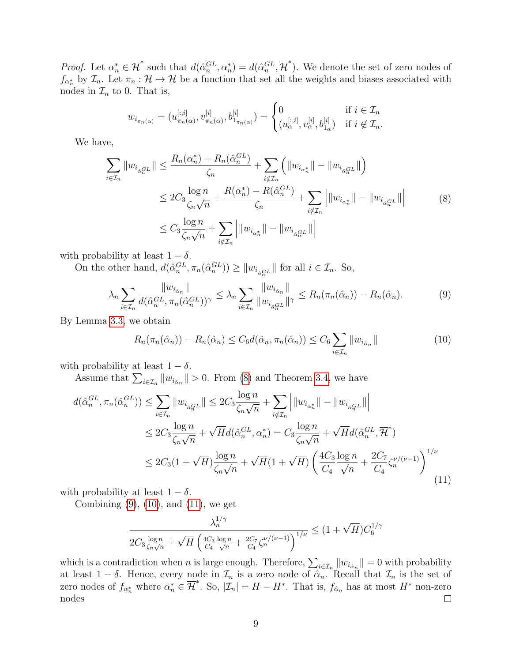*Proof.* Let  $\alpha_n^* \in \overline{\mathcal{H}}^*$  such that  $d(\hat{\alpha}_n^{GL}, \alpha_n^*) = d(\hat{\alpha}_n^{GL}, \overline{\mathcal{H}}^*)$ . We denote the set of zero nodes of  $f_{\alpha_n^*}$  by  $\mathcal{I}_n$ . Let  $\pi_n : \mathcal{H} \to \mathcal{H}$  be a function that set all the weights and biases associated with nodes in  $\mathcal{I}_n$  to 0. That is,

$$
w_{i_{\pi_n(\alpha)}} = (u_{\pi_n(\alpha)}^{[:,i]}, v_{\pi_n(\alpha)}^{[i]}, b_{1_{\pi_n(\alpha)}}^{[i]}) = \begin{cases} 0 & \text{if } i \in \mathcal{I}_n \\ (u_{\alpha}^{[:,i]}, v_{\alpha}^{[i]}, b_{1_{\alpha}}^{[i]}) & \text{if } i \notin \mathcal{I}_n. \end{cases}
$$

We have,

<span id="page-8-0"></span>
$$
\sum_{i \in \mathcal{I}_n} \|w_{i_{\alpha_n^{\mathcal{GI}}}}\| \le \frac{R_n(\alpha_n^*) - R_n(\hat{\alpha}_n^{\mathcal{GI}})}{\zeta_n} + \sum_{i \notin \mathcal{I}_n} \left( \|w_{i_{\alpha_n^*}}\| - \|w_{i_{\alpha_n^{\mathcal{GI}}}}\| \right)
$$
  
\n
$$
\le 2C_3 \frac{\log n}{\zeta_n \sqrt{n}} + \frac{R(\alpha_n^*) - R(\hat{\alpha}_n^{\mathcal{GI}})}{\zeta_n} + \sum_{i \notin \mathcal{I}_n} \left| \|w_{i_{\alpha_n^*}}\| - \|w_{i_{\alpha_n^{\mathcal{GI}}}}\| \right|
$$
  
\n
$$
\le C_3 \frac{\log n}{\zeta_n \sqrt{n}} + \sum_{i \notin \mathcal{I}_n} \left| \|w_{i_{\alpha_n^*}}\| - \|w_{i_{\alpha_n^{\mathcal{GI}}}}\| \right|
$$
 (8)

with probability at least  $1 - \delta$ .

On the other hand,  $d(\hat{\alpha}_n^{GL}, \pi_n(\hat{\alpha}_n^{GL})) \ge ||w_{i_{\hat{\alpha}_n^{GL}}}\||$  for all  $i \in \mathcal{I}_n$ . So,

<span id="page-8-1"></span>
$$
\lambda_n \sum_{i \in \mathcal{I}_n} \frac{\|w_{i_{\hat{\alpha}_n}}\|}{d(\hat{\alpha}_n^{GL}, \pi_n(\hat{\alpha}_n^{GL}))^{\gamma}} \le \lambda_n \sum_{i \in \mathcal{I}_n} \frac{\|w_{i_{\hat{\alpha}_n}}\|}{\|w_{i_{\hat{\alpha}_n^{GL}}}\|^{\gamma}} \le R_n(\pi_n(\hat{\alpha}_n)) - R_n(\hat{\alpha}_n). \tag{9}
$$

By Lemma [3.3,](#page-6-2) we obtain

<span id="page-8-2"></span>
$$
R_n(\pi_n(\hat{\alpha}_n)) - R_n(\hat{\alpha}_n) \le C_6 d(\hat{\alpha}_n, \pi_n(\hat{\alpha}_n)) \le C_6 \sum_{i \in \mathcal{I}_n} ||w_{i_{\hat{\alpha}_n}}|| \tag{10}
$$

with probability at least  $1 - \delta$ .

Assume that  $\sum_{i \in \mathcal{I}_n} ||w_{i_{\hat{\alpha}_n}}|| > 0$ . From [\(8\)](#page-8-0) and Theorem [3.4,](#page-6-1) we have

<span id="page-8-3"></span>
$$
d(\hat{\alpha}_n^{GL}, \pi_n(\hat{\alpha}_n^{GL})) \le \sum_{i \in \mathcal{I}_n} \|w_{i_{\hat{\alpha}_n^{GL}}}\| \le 2C_3 \frac{\log n}{\zeta_n \sqrt{n}} + \sum_{i \notin \mathcal{I}_n} \left| \|w_{i_{\hat{\alpha}_n^{SL}}}\| - \|w_{i_{\hat{\alpha}_n^{GL}}}\| \right|
$$
  

$$
\le 2C_3 \frac{\log n}{\zeta_n \sqrt{n}} + \sqrt{H} d(\hat{\alpha}_n^{GL}, \alpha_n^*) = C_3 \frac{\log n}{\zeta_n \sqrt{n}} + \sqrt{H} d(\hat{\alpha}_n^{GL}, \overline{\mathcal{H}}^*)
$$
  

$$
\le 2C_3 (1 + \sqrt{H}) \frac{\log n}{\zeta_n \sqrt{n}} + \sqrt{H} (1 + \sqrt{H}) \left( \frac{4C_3}{C_4} \frac{\log n}{\sqrt{n}} + \frac{2C_7}{C_4} \zeta_n^{\nu/(\nu - 1)} \right)^{1/\nu}
$$
(11)

with probability at least  $1 - \delta$ .

Combining  $(9)$ ,  $(10)$ , and  $(11)$ , we get

$$
\frac{\lambda_n^{1/\gamma}}{2C_3 \frac{\log n}{\zeta_n \sqrt{n}} + \sqrt{H} \left( \frac{4C_3}{C_4} \frac{\log n}{\sqrt{n}} + \frac{2C_7}{C_4} \zeta_n^{\nu/(\nu-1)} \right)^{1/\nu}} \le (1 + \sqrt{H}) C_6^{1/\gamma}
$$

which is a contradiction when *n* is large enough. Therefore,  $\sum_{i\in\mathcal{I}_n} ||w_{i_{\hat{\alpha}_n}}|| = 0$  with probability at least  $1 - \delta$ . Hence, every node in  $\mathcal{I}_n$  is a zero node of  $\alpha_n$ . Recall that  $\mathcal{I}_n$  is the set of zero nodes of  $f_{\alpha_n^*}$  where  $\alpha_n^* \in \overline{\mathcal{H}}^*$ . So,  $|\mathcal{I}_n| = H - H^*$ . That is,  $f_{\hat{\alpha}_n}$  has at most  $H^*$  non-zero nodes  $\Box$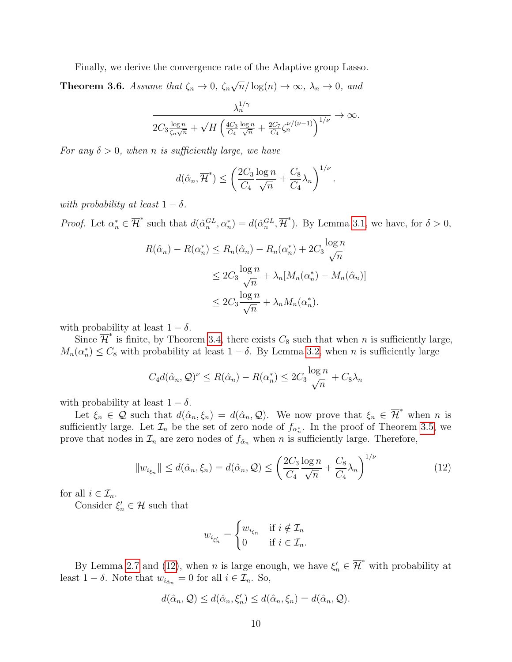Finally, we derive the convergence rate of the Adaptive group Lasso.

<span id="page-9-1"></span>**Theorem 3.6.** Assume that  $\zeta_n \to 0$ ,  $\zeta_n$ √  $\overline{n}/\log(n) \to \infty$ ,  $\lambda_n \to 0$ , and

$$
\frac{\lambda_n^{1/\gamma}}{2C_3 \frac{\log n}{\zeta_n\sqrt{n}} + \sqrt{H} \left(\frac{4C_3}{C_4} \frac{\log n}{\sqrt{n}} + \frac{2C_7}{C_4} \zeta_n^{\nu/(\nu-1)}\right)^{1/\nu}} \to \infty.
$$

For any  $\delta > 0$ , when n is sufficiently large, we have

$$
d(\hat{\alpha}_n, \overline{\mathcal{H}}^*) \le \left(\frac{2C_3}{C_4} \frac{\log n}{\sqrt{n}} + \frac{C_8}{C_4} \lambda_n\right)^{1/\nu}.
$$

with probability at least  $1 - \delta$ .

*Proof.* Let  $\alpha_n^* \in \overline{\mathcal{H}}^*$  such that  $d(\hat{\alpha}_n^{GL}, \alpha_n^*) = d(\hat{\alpha}_n^{GL}, \overline{\mathcal{H}}^*)$ . By Lemma [3.1,](#page-5-0) we have, for  $\delta > 0$ ,

$$
R(\hat{\alpha}_n) - R(\alpha_n^*) \le R_n(\hat{\alpha}_n) - R_n(\alpha_n^*) + 2C_3 \frac{\log n}{\sqrt{n}}
$$
  

$$
\le 2C_3 \frac{\log n}{\sqrt{n}} + \lambda_n [M_n(\alpha_n^*) - M_n(\hat{\alpha}_n)]
$$
  

$$
\le 2C_3 \frac{\log n}{\sqrt{n}} + \lambda_n M_n(\alpha_n^*).
$$

with probability at least  $1 - \delta$ .

Since  $\overline{\mathcal{H}}^*$  is finite, by Theorem [3.4,](#page-6-1) there exists  $C_8$  such that when n is sufficiently large,  $M_n(\alpha_n^*) \leq C_8$  with probability at least  $1 - \delta$ . By Lemma [3.2,](#page-5-1) when n is sufficiently large

$$
C_4 d(\hat{\alpha}_n, \mathcal{Q})^{\nu} \le R(\hat{\alpha}_n) - R(\alpha_n^*) \le 2C_3 \frac{\log n}{\sqrt{n}} + C_8 \lambda_n
$$

with probability at least  $1 - \delta$ .

Let  $\xi_n \in \mathcal{Q}$  such that  $d(\hat{\alpha}_n, \xi_n) = d(\hat{\alpha}_n, \mathcal{Q})$ . We now prove that  $\xi_n \in \overline{\mathcal{H}}^*$  when n is sufficiently large. Let  $\mathcal{I}_n$  be the set of zero node of  $f_{\alpha_n^*}$ . In the proof of Theorem [3.5,](#page-7-1) we prove that nodes in  $\mathcal{I}_n$  are zero nodes of  $f_{\hat{\alpha}_n}$  when n is sufficiently large. Therefore,

<span id="page-9-0"></span>
$$
||w_{i_{\xi_n}}|| \le d(\hat{\alpha}_n, \xi_n) = d(\hat{\alpha}_n, \mathcal{Q}) \le \left(\frac{2C_3 \log n}{C_4} + \frac{C_8}{\sqrt{n}} \lambda_n\right)^{1/\nu}
$$
(12)

for all  $i \in \mathcal{I}_n$ .

Consider  $\xi'_n \in \mathcal{H}$  such that

$$
w_{i_{\xi'_n}} = \begin{cases} w_{i_{\xi_n}} & \text{if } i \notin \mathcal{I}_n \\ 0 & \text{if } i \in \mathcal{I}_n. \end{cases}
$$

By Lemma [2.7](#page-5-2) and [\(12\)](#page-9-0), when n is large enough, we have  $\xi_n \in \overline{\mathcal{H}}^*$  with probability at least  $1 - \delta$ . Note that  $w_{i_{\hat{\alpha}_n}} = 0$  for all  $i \in \mathcal{I}_n$ . So,

$$
d(\hat{\alpha}_n, \mathcal{Q}) \leq d(\hat{\alpha}_n, \xi'_n) \leq d(\hat{\alpha}_n, \xi_n) = d(\hat{\alpha}_n, \mathcal{Q}).
$$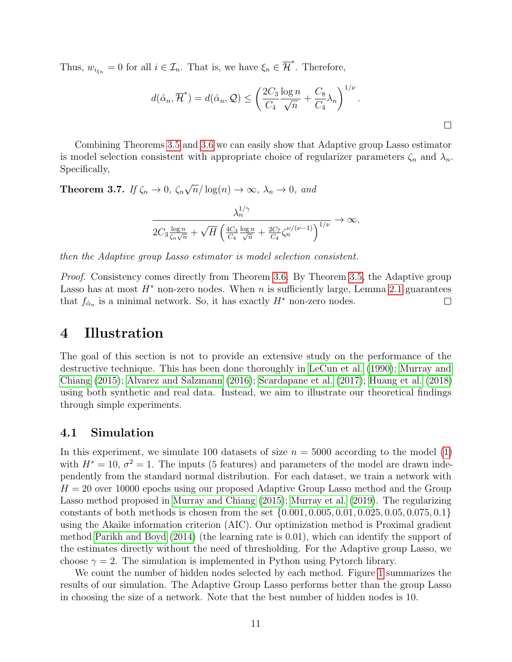Thus,  $w_{i_{\xi_n}} = 0$  for all  $i \in \mathcal{I}_n$ . That is, we have  $\xi_n \in \overline{\mathcal{H}}^*$ . Therefore,

$$
d(\hat{\alpha}_n, \overline{\mathcal{H}}^*) = d(\hat{\alpha}_n, \mathcal{Q}) \le \left(\frac{2C_3}{C_4} \frac{\log n}{\sqrt{n}} + \frac{C_8}{C_4} \lambda_n\right)^{1/\nu}.
$$

Combining Theorems [3.5](#page-7-1) and [3.6](#page-9-1) we can easily show that Adaptive group Lasso estimator is model selection consistent with appropriate choice of regularizer parameters  $\zeta_n$  and  $\lambda_n$ . Specifically,

Theorem 3.7. If  $\zeta_n \to 0$ ,  $\zeta_n$ √  $\overline{n}/\log(n) \to \infty$ ,  $\lambda_n \to 0$ , and

$$
\frac{\lambda_n^{1/\gamma}}{2C_3 \frac{\log n}{\zeta_n \sqrt{n}} + \sqrt{H} \left( \frac{4C_3}{C_4} \frac{\log n}{\sqrt{n}} + \frac{2C_7}{C_4} \zeta_n^{\nu/(\nu-1)} \right)^{1/\nu}} \to \infty,
$$

then the Adaptive group Lasso estimator is model selection consistent.

Proof. Consistency comes directly from Theorem [3.6.](#page-9-1) By Theorem [3.5,](#page-7-1) the Adaptive group Lasso has at most  $H^*$  non-zero nodes. When n is sufficiently large, Lemma [2.1](#page-2-0) guarantees that  $f_{\hat{\alpha}_n}$  is a minimal network. So, it has exactly  $H^*$  non-zero nodes.  $\Box$ 

### 4 Illustration

The goal of this section is not to provide an extensive study on the performance of the destructive technique. This has been done thoroughly in [LeCun et al.](#page-14-0) [\(1990\)](#page-14-0); [Murray and](#page-14-1) [Chiang](#page-14-1) [\(2015\)](#page-14-1); [Alvarez and Salzmann](#page-13-1) [\(2016\)](#page-13-1); [Scardapane et al.](#page-14-2) [\(2017\)](#page-14-2); [Huang et al.](#page-14-3) [\(2018\)](#page-14-3) using both synthetic and real data. Instead, we aim to illustrate our theoretical findings through simple experiments.

#### 4.1 Simulation

In this experiment, we simulate 100 datasets of size  $n = 5000$  according to the model [\(1\)](#page-2-1) with  $H^* = 10$ ,  $\sigma^2 = 1$ . The inputs (5 features) and parameters of the model are drawn independently from the standard normal distribution. For each dataset, we train a network with  $H = 20$  over 10000 epochs using our proposed Adaptive Group Lasso method and the Group Lasso method proposed in [Murray and Chiang](#page-14-1) [\(2015\)](#page-14-1); [Murray et al.](#page-14-4) [\(2019\)](#page-14-4). The regularizing constants of both methods is chosen from the set {0.001, 0.005, 0.01, 0.025, 0.05, 0.075, 0.1} using the Akaike information criterion (AIC). Our optimization method is Proximal gradient method [Parikh and Boyd](#page-14-14) [\(2014\)](#page-14-14) (the learning rate is 0.01), which can identify the support of the estimates directly without the need of thresholding. For the Adaptive group Lasso, we choose  $\gamma = 2$ . The simulation is implemented in Python using Pytorch library.

We count the number of hidden nodes selected by each method. Figure [1](#page-11-0) summarizes the results of our simulation. The Adaptive Group Lasso performs better than the group Lasso in choosing the size of a network. Note that the best number of hidden nodes is 10.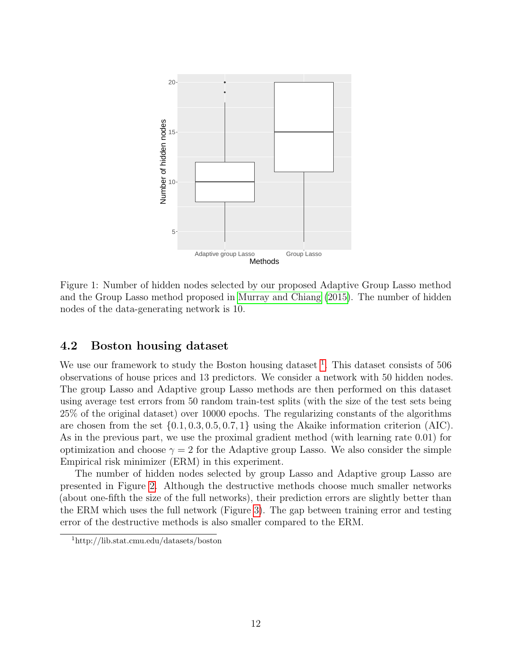

<span id="page-11-0"></span>Figure 1: Number of hidden nodes selected by our proposed Adaptive Group Lasso method and the Group Lasso method proposed in [Murray and Chiang](#page-14-1) [\(2015\)](#page-14-1). The number of hidden nodes of the data-generating network is 10.

#### 4.2 Boston housing dataset

We use our framework to study the Boston housing dataset  $\frac{1}{1}$  $\frac{1}{1}$  $\frac{1}{1}$ . This dataset consists of 506 observations of house prices and 13 predictors. We consider a network with 50 hidden nodes. The group Lasso and Adaptive group Lasso methods are then performed on this dataset using average test errors from 50 random train-test splits (with the size of the test sets being 25% of the original dataset) over 10000 epochs. The regularizing constants of the algorithms are chosen from the set  $\{0.1, 0.3, 0.5, 0.7, 1\}$  using the Akaike information criterion (AIC). As in the previous part, we use the proximal gradient method (with learning rate 0.01) for optimization and choose  $\gamma = 2$  for the Adaptive group Lasso. We also consider the simple Empirical risk minimizer (ERM) in this experiment.

The number of hidden nodes selected by group Lasso and Adaptive group Lasso are presented in Figure [2.](#page-12-0) Although the destructive methods choose much smaller networks (about one-fifth the size of the full networks), their prediction errors are slightly better than the ERM which uses the full network (Figure [3\)](#page-13-5). The gap between training error and testing error of the destructive methods is also smaller compared to the ERM.

<span id="page-11-1"></span><sup>1</sup>http://lib.stat.cmu.edu/datasets/boston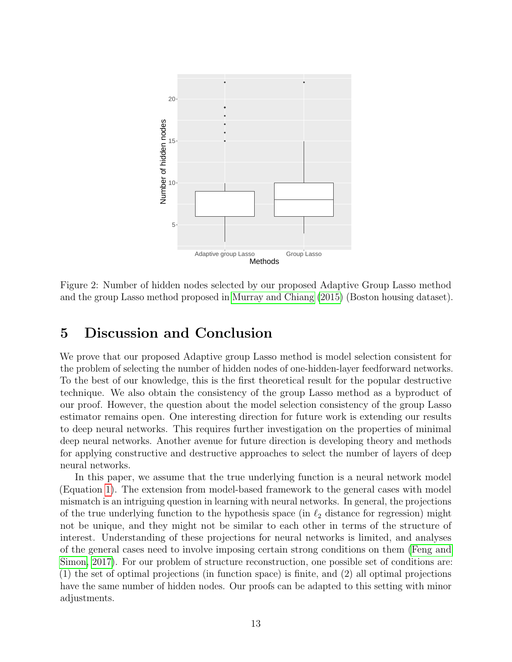

<span id="page-12-0"></span>Figure 2: Number of hidden nodes selected by our proposed Adaptive Group Lasso method and the group Lasso method proposed in [Murray and Chiang](#page-14-1) [\(2015\)](#page-14-1) (Boston housing dataset).

# 5 Discussion and Conclusion

We prove that our proposed Adaptive group Lasso method is model selection consistent for the problem of selecting the number of hidden nodes of one-hidden-layer feedforward networks. To the best of our knowledge, this is the first theoretical result for the popular destructive technique. We also obtain the consistency of the group Lasso method as a byproduct of our proof. However, the question about the model selection consistency of the group Lasso estimator remains open. One interesting direction for future work is extending our results to deep neural networks. This requires further investigation on the properties of minimal deep neural networks. Another avenue for future direction is developing theory and methods for applying constructive and destructive approaches to select the number of layers of deep neural networks.

In this paper, we assume that the true underlying function is a neural network model (Equation [1\)](#page-2-1). The extension from model-based framework to the general cases with model mismatch is an intriguing question in learning with neural networks. In general, the projections of the true underlying function to the hypothesis space (in  $\ell_2$  distance for regression) might not be unique, and they might not be similar to each other in terms of the structure of interest. Understanding of these projections for neural networks is limited, and analyses of the general cases need to involve imposing certain strong conditions on them [\(Feng and](#page-14-9) [Simon, 2017\)](#page-14-9). For our problem of structure reconstruction, one possible set of conditions are: (1) the set of optimal projections (in function space) is finite, and (2) all optimal projections have the same number of hidden nodes. Our proofs can be adapted to this setting with minor adjustments.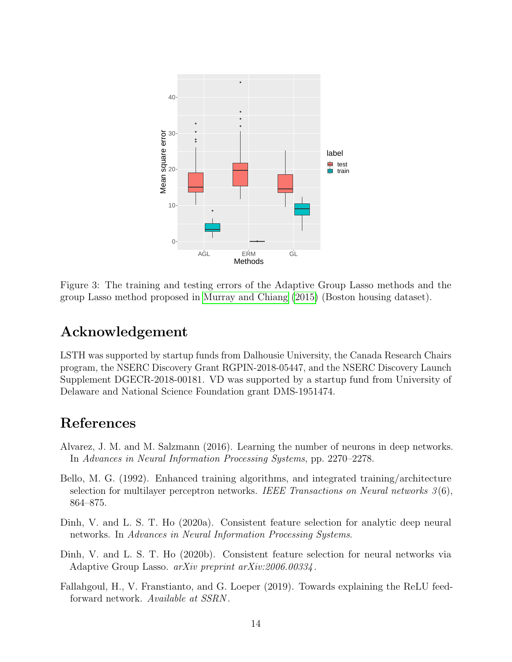

<span id="page-13-5"></span>Figure 3: The training and testing errors of the Adaptive Group Lasso methods and the group Lasso method proposed in [Murray and Chiang](#page-14-1) [\(2015\)](#page-14-1) (Boston housing dataset).

# Acknowledgement

LSTH was supported by startup funds from Dalhousie University, the Canada Research Chairs program, the NSERC Discovery Grant RGPIN-2018-05447, and the NSERC Discovery Launch Supplement DGECR-2018-00181. VD was supported by a startup fund from University of Delaware and National Science Foundation grant DMS-1951474.

# References

- <span id="page-13-1"></span>Alvarez, J. M. and M. Salzmann (2016). Learning the number of neurons in deep networks. In Advances in Neural Information Processing Systems, pp. 2270–2278.
- <span id="page-13-0"></span>Bello, M. G. (1992). Enhanced training algorithms, and integrated training/architecture selection for multilayer perceptron networks. IEEE Transactions on Neural networks  $3(6)$ , 864–875.
- <span id="page-13-3"></span>Dinh, V. and L. S. T. Ho (2020a). Consistent feature selection for analytic deep neural networks. In Advances in Neural Information Processing Systems.
- <span id="page-13-2"></span>Dinh, V. and L. S. T. Ho (2020b). Consistent feature selection for neural networks via Adaptive Group Lasso. *arXiv preprint arXiv:2006.00334*.
- <span id="page-13-4"></span>Fallahgoul, H., V. Franstianto, and G. Loeper (2019). Towards explaining the ReLU feedforward network. Available at SSRN .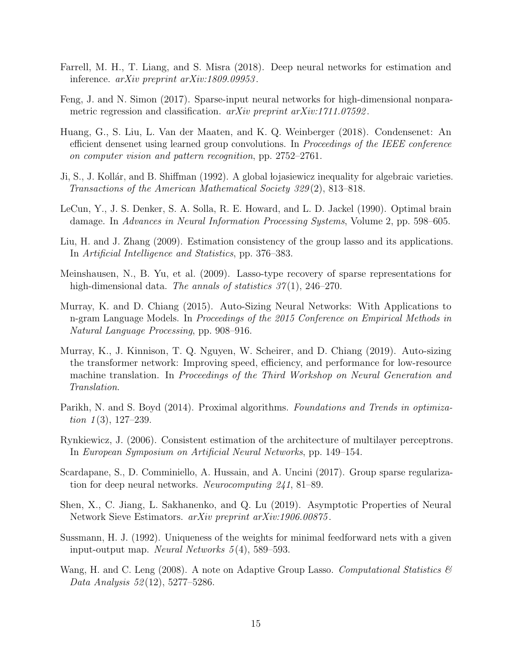- <span id="page-14-10"></span>Farrell, M. H., T. Liang, and S. Misra (2018). Deep neural networks for estimation and inference. arXiv preprint arXiv:1809.09953 .
- <span id="page-14-9"></span>Feng, J. and N. Simon (2017). Sparse-input neural networks for high-dimensional nonparametric regression and classification. arXiv preprint arXiv:1711.07592.
- <span id="page-14-3"></span>Huang, G., S. Liu, L. Van der Maaten, and K. Q. Weinberger (2018). Condensenet: An efficient densenet using learned group convolutions. In Proceedings of the IEEE conference on computer vision and pattern recognition, pp. 2752–2761.
- <span id="page-14-13"></span>Ji, S., J. Kollár, and B. Shiffman (1992). A global lojasiewicz inequality for algebraic varieties. Transactions of the American Mathematical Society 329 (2), 813–818.
- <span id="page-14-0"></span>LeCun, Y., J. S. Denker, S. A. Solla, R. E. Howard, and L. D. Jackel (1990). Optimal brain damage. In Advances in Neural Information Processing Systems, Volume 2, pp. 598–605.
- <span id="page-14-8"></span>Liu, H. and J. Zhang (2009). Estimation consistency of the group lasso and its applications. In Artificial Intelligence and Statistics, pp. 376–383.
- <span id="page-14-7"></span>Meinshausen, N., B. Yu, et al. (2009). Lasso-type recovery of sparse representations for high-dimensional data. The annals of statistics  $37(1)$ ,  $246-270$ .
- <span id="page-14-1"></span>Murray, K. and D. Chiang (2015). Auto-Sizing Neural Networks: With Applications to n-gram Language Models. In Proceedings of the 2015 Conference on Empirical Methods in Natural Language Processing, pp. 908–916.
- <span id="page-14-4"></span>Murray, K., J. Kinnison, T. Q. Nguyen, W. Scheirer, and D. Chiang (2019). Auto-sizing the transformer network: Improving speed, efficiency, and performance for low-resource machine translation. In Proceedings of the Third Workshop on Neural Generation and Translation.
- <span id="page-14-14"></span>Parikh, N. and S. Boyd (2014). Proximal algorithms. Foundations and Trends in optimization  $1(3)$ , 127–239.
- <span id="page-14-5"></span>Rynkiewicz, J. (2006). Consistent estimation of the architecture of multilayer perceptrons. In European Symposium on Artificial Neural Networks, pp. 149–154.
- <span id="page-14-2"></span>Scardapane, S., D. Comminiello, A. Hussain, and A. Uncini (2017). Group sparse regularization for deep neural networks. Neurocomputing 241, 81–89.
- <span id="page-14-11"></span>Shen, X., C. Jiang, L. Sakhanenko, and Q. Lu (2019). Asymptotic Properties of Neural Network Sieve Estimators. arXiv preprint arXiv:1906.00875 .
- <span id="page-14-12"></span>Sussmann, H. J. (1992). Uniqueness of the weights for minimal feedforward nets with a given input-output map. Neural Networks 5 (4), 589–593.
- <span id="page-14-6"></span>Wang, H. and C. Leng (2008). A note on Adaptive Group Lasso. Computational Statistics  $\mathscr B$ Data Analysis 52 (12), 5277–5286.